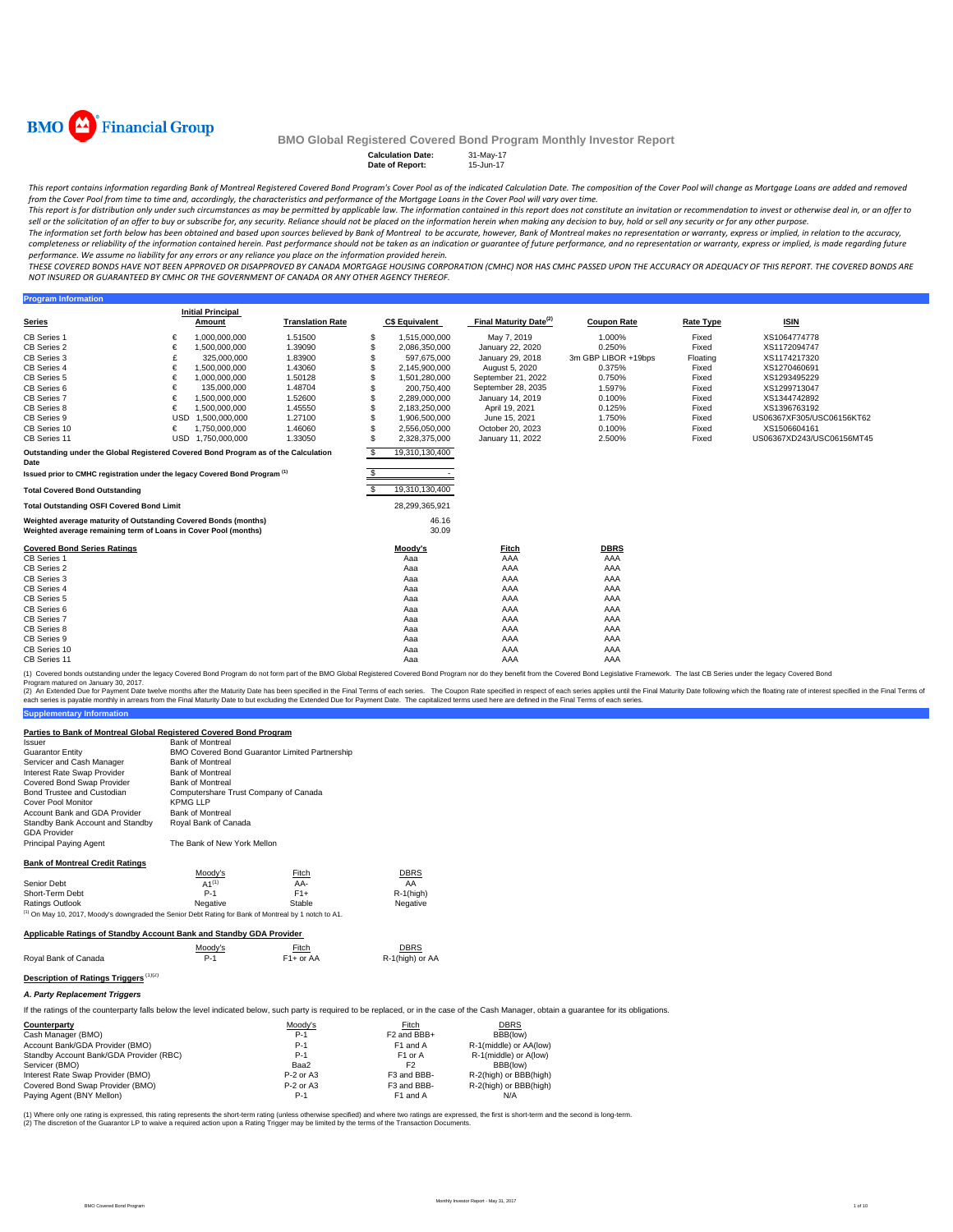

**Program Inform** 

#### **BMO Global Registered Covered Bond Program Monthly Investor Report**

**Calculation Date: Date of Report:** 15-Jun-17

This report contains information regarding Bank of Montreal Registered Covered Bond Program's Cover Pool as of the indicated Calculation Date. The composition of the Cover Pool will change as Mortgage Loans are added and r from the Cover Pool from time to time and, accordingly, the characteristics and performance of the Mortgage Loans in the Cover Pool will vary over time.

This report is for distribution only under such circumstances as may be permitted by applicable law. The information contained in this report does not constitute an invitation or recommendation to invest or otherwise deal sell or the solicitation of an offer to buy or subscribe for, any security. Reliance should not be placed on the information herein when making any decision to buy, hold or sell any security or for any other purpose.

The information set forth below has been obtained and based upon sources believed by Bank of Montreal to be accurate, however, Bank of Montreal makes no representation or warranty, express or implied, in relation to the ac completeness or reliability of the information contained herein. Past performance should not be taken as an indication or quarantee of future performance, and no representation or warranty, express or implied, is made rega performance. We assume no liability for any errors or any reliance you place on the information provided herein.

.<br>THESE COVERED BONDS HAVE NOT BEEN APPROVED OR DISAPPROVED BY CANADA MORTGAGE HOUSING CORPORATION (CMHC) NOR HAS CMHC PASSED UPON THE ACCURACY OR ADEQUACY OF THIS REPORT. THE COVERED BONDS ARE *NOT INSURED OR GUARANTEED BY CMHC OR THE GOVERNMENT OF CANADA OR ANY OTHER AGENCY THEREOF.*

**Series Initial Principal Amount C\$ Equivalent Final Maturity Date(2) Coupon Rate Rate Type ISIN** CB Series 1 € 1,000,000,000 1.51500 \$ 1,515,000,000 May 7, 2019 1.000% Fixed XS1064774778 CB Series 2 € 1,500,000,000 1.39090 \$ 2,086,350,000 January 22, 2020 0.250% Fixed XS1172094747 CB Series 2 € 1,500,000,000 1.39090 \$ 2,086,350,000 January 22, 2020 0.250% Fixed XS1172094747<br>CB Series 3 £ 325,000,000 1.83900 \$ 597,675,000 January 29, 2018 3m GBP LIBOR +19bps Floating XS1174217320<br>CB Series 4 € 1.500 CB Series 4 € 1,500,000,000 1.43060 \$ 2,145,900,000 August 5, 2020 0.375% Fixed XS1270460691 CB Series 5 € 1,000,000,000 1.50128 \$ 1,501,280,000 September 21, 2022 0.750% Fixed XS1293495229 CB Series 6 € 135,000,000 1.48704 \$ 200,750,400 September 28, 2035 1.597% Fixed XS1299713047 CB Series 7 € 1,500,000,000 1.52600 \$ 2,289,000,000 January 14, 2019 0.100% Fixed XS1344742892 CB Series 8 € 1,500,000,000 1.45550 \$ 2,183,250,000 April 19, 2021 0.125% Fixed XS1396763192 CB Series 9 USD 1,500,000,000 1.27100 \$ 1,906,500,000 June 15, 2021 1.750% Fixed US06367XF305/USC06156KT62 CB Series 10 € 1,750,000,000 1.46060 \$ 2,556,050,000 October 20, 2023 0.100% Fixed XS1506604161 CB Series 11 USD 1,750,000,000 1.33050 \$ 2,328,375,000 January 11, 2022 2.500% Fixed US06367XD243/USC06156MT45 \$ 19,310,130,400 \$ - **Total Covered Bond Outstanding** \$ 19,310,130,400 **Total Outstanding OSFI Covered Bond Limit** 28,299,365,921 46.16 30.09 **Covered Bond Series Ratings Moody's Fitch DBRS** CB Series 1 Aaa AAA AAA CB Series 2 Aaa AAA AAA CB Series 3 Aaa AAA AAA CB Series 4 Aaa AAA AAA CB Series 5 Aaa AAA AAA CB Series 6 Aaa AAA AAA CB Series 7 Aaa AAA AAA CB Series 8 Aaa AAA AAA CB Series 9 Aaa AAA AAA CB Series 10 Aaa AAA AAA CB Series 11 Aaa AAA AAA **Translation Rate Outstanding under the Global Registered Covered Bond Program as of the Calculation Date Issued prior to CMHC registration under the legacy Covered Bond Program (1) Weighted average maturity of Outstanding Covered Bonds (months) Weighted average remaining term of Loans in Cover Pool (months)**

(1) Covered bonds outstanding under the legacy Covered Bond Program do not form part of the BMO Global Registered Covered Bond Program nor do they benefit from the Covered Bond Legislative Framework. The last CB Series und

**Supplementary Information** (2) An Extended Due for Payment Date twelve months after the Maturity Date has been specified in the Final Erms of each series. The Capon Rate specified in the Final Maturity Date in the Final Maturity Date in the Sinal Te

#### **Parties to Bank of Montreal Global Registered Covered Bond Program**

| Issuer                                                  | <b>Bank of Montreal</b>                               |
|---------------------------------------------------------|-------------------------------------------------------|
| <b>Guarantor Entity</b>                                 | <b>BMO Covered Bond Guarantor Limited Partnership</b> |
| Servicer and Cash Manager                               | <b>Bank of Montreal</b>                               |
| Interest Rate Swap Provider                             | <b>Bank of Montreal</b>                               |
| Covered Bond Swap Provider                              | <b>Bank of Montreal</b>                               |
| Bond Trustee and Custodian                              | Computershare Trust Company of Canada                 |
| <b>Cover Pool Monitor</b>                               | KPMG LLP                                              |
| Account Bank and GDA Provider                           | <b>Bank of Montreal</b>                               |
| Standby Bank Account and Standby<br><b>GDA Provider</b> | Royal Bank of Canada                                  |
| <b>Principal Paying Agent</b>                           | The Bank of New York Mellon                           |
| <b>Bank of Montreal Credit Ratings</b>                  |                                                       |

|                                                                                                                  | Moody's    | Fitch  | <b>DBRS</b>  |  |  |  |
|------------------------------------------------------------------------------------------------------------------|------------|--------|--------------|--|--|--|
| Senior Debt                                                                                                      | $A1^{(1)}$ | AA-    | AA           |  |  |  |
| Short-Term Debt                                                                                                  | $P-1$      | $F1+$  | $R-1$ (high) |  |  |  |
| Ratings Outlook                                                                                                  | Negative   | Stable | Negative     |  |  |  |
| <sup>(1)</sup> On May 10, 2017, Moody's downgraded the Senior Debt Rating for Bank of Montreal by 1 notch to A1. |            |        |              |  |  |  |
| Applicable Ratings of Standby Account Bank and Standby GDA Provider                                              |            |        |              |  |  |  |

|                                        | Moodv's | Fitch       | <b>DBRS</b>     |
|----------------------------------------|---------|-------------|-----------------|
| Roval Bank of Canada                   | P-1     | $F1+$ or AA | R-1(high) or AA |
| Description of Ratings Triggers (1)(2) |         |             |                 |

*A. Party Replacement Triggers*

If the ratings of the counterparty falls below the level indicated below, such party is required to be replaced, or in the case of the Cash Manager, obtain a guarantee for its obligations.

| Counterparty                            | Moodv's     | Fitch                   | <b>DBRS</b>            |  |
|-----------------------------------------|-------------|-------------------------|------------------------|--|
| Cash Manager (BMO)                      | $P-1$       | F <sub>2</sub> and BBB+ | BBB(low)               |  |
| Account Bank/GDA Provider (BMO)         | $P-1$       | F1 and A                | R-1(middle) or AA(low) |  |
| Standby Account Bank/GDA Provider (RBC) | $P-1$       | F <sub>1</sub> or A     | R-1(middle) or A(low)  |  |
| Servicer (BMO)                          | Baa2        | F2                      | BBB(low)               |  |
| Interest Rate Swap Provider (BMO)       | P-2 or A3   | F3 and BBB-             | R-2(high) or BBB(high) |  |
| Covered Bond Swap Provider (BMO)        | $P-2$ or A3 | F3 and BBB-             | R-2(high) or BBB(high) |  |
| Paying Agent (BNY Mellon)               | $P-1$       | F1 and A                | N/A                    |  |
|                                         |             |                         |                        |  |

ere only one rating is expressed, this rating represents the short-term rating (unless otherwise specified) and where two ratings are expressed, the first is short-term and the second is long-term. (2) The discretion of the Guarantor LP to waive a required action upon a Rating Trigger may be limited by the terms of the Transaction Documents.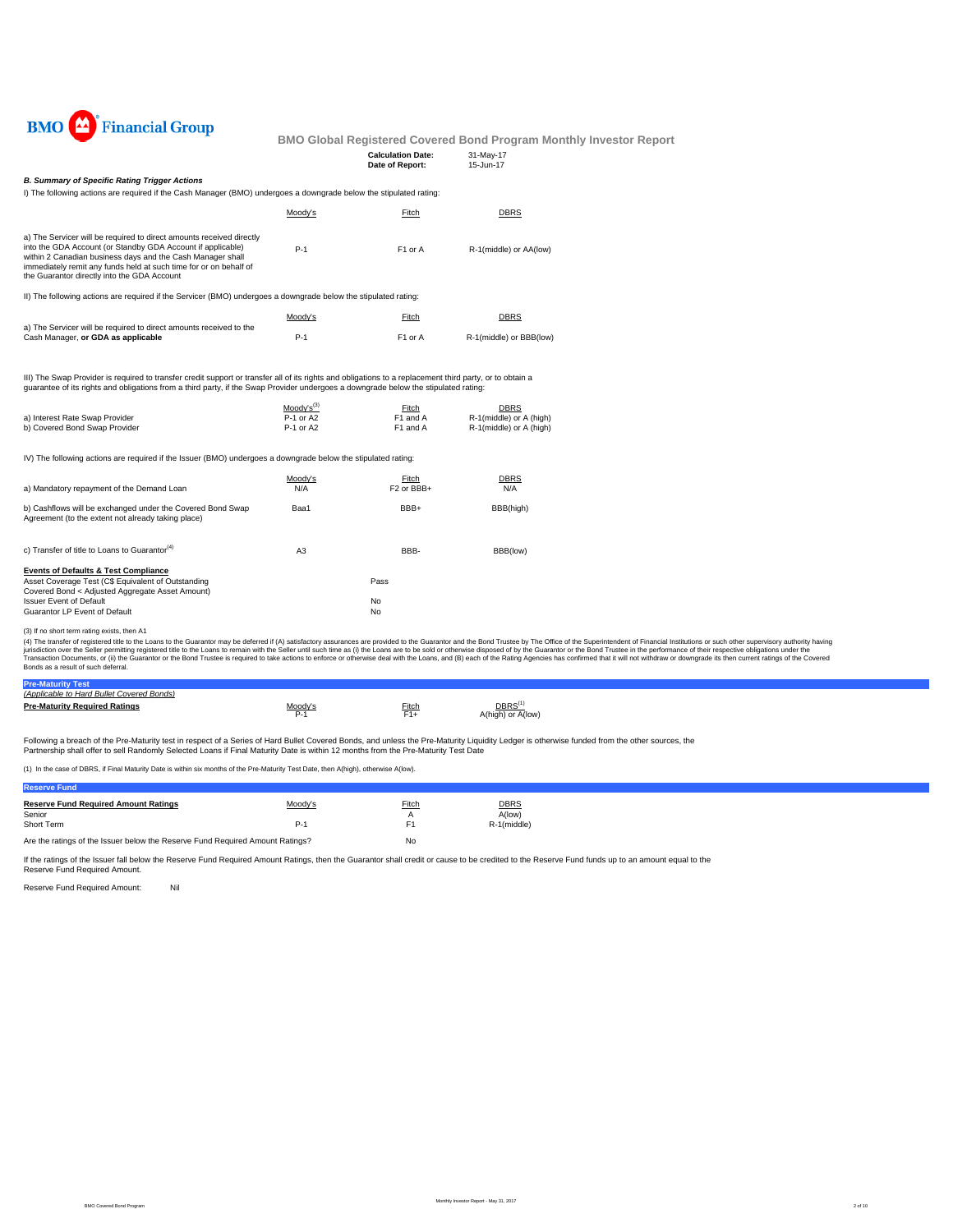

| <b>Calculation Date:</b> | 31-May-17 |
|--------------------------|-----------|
| Date of Report:          | 15-Jun-17 |

#### *B. Summary of Specific Rating Trigger Actions*

I) The following actions are required if the Cash Manager (BMO) undergoes a downgrade below the stipulated rating:

|                                                                                                                                                                                                                                                                                                                       | Moody's | Fitch               | DBRS                    |
|-----------------------------------------------------------------------------------------------------------------------------------------------------------------------------------------------------------------------------------------------------------------------------------------------------------------------|---------|---------------------|-------------------------|
| a) The Servicer will be required to direct amounts received directly<br>into the GDA Account (or Standby GDA Account if applicable)<br>within 2 Canadian business days and the Cash Manager shall<br>immediately remit any funds held at such time for or on behalf of<br>the Guarantor directly into the GDA Account | $P-1$   | F <sub>1</sub> or A | R-1(middle) or AA(low)  |
| II) The following actions are required if the Servicer (BMO) undergoes a downgrade below the stipulated rating:                                                                                                                                                                                                       |         |                     |                         |
|                                                                                                                                                                                                                                                                                                                       | Moody's | Fitch               | DBRS                    |
| a) The Servicer will be required to direct amounts received to the<br>Cash Manager, or GDA as applicable                                                                                                                                                                                                              | $P-1$   | F <sub>1</sub> or A | R-1(middle) or BBB(low) |

III) The Swap Provider is required to transfer credit support or transfer all of its rights and obligations to a replacement third party, or to obtain a guarantee of its rights and obligations from a third party, if the Swap Provider undergoes a downgrade below the stipulated rating:

|                                | Moody's <sup>(3)</sup> | Fitch    | <b>DBRS</b>             |
|--------------------------------|------------------------|----------|-------------------------|
| a) Interest Rate Swap Provider | P-1 or A2              | F1 and A | R-1(middle) or A (high) |
| b) Covered Bond Swap Provider  | P-1 or A2              | F1 and A | R-1(middle) or A (high) |

IV) The following actions are required if the Issuer (BMO) undergoes a downgrade below the stipulated rating:

| a) Mandatory repayment of the Demand Loan                                                                                                                | Moody's<br>N/A | Fitch<br>F <sub>2</sub> or BB <sub>B+</sub> | <b>DBRS</b><br>N/A |
|----------------------------------------------------------------------------------------------------------------------------------------------------------|----------------|---------------------------------------------|--------------------|
| b) Cashflows will be exchanged under the Covered Bond Swap<br>Agreement (to the extent not already taking place)                                         | Baa1           | BBB+                                        | BBB(high)          |
| c) Transfer of title to Loans to Guarantor <sup>(4)</sup>                                                                                                | A <sub>3</sub> | BBB-                                        | BBB(low)           |
| <b>Events of Defaults &amp; Test Compliance</b><br>Asset Coverage Test (C\$ Equivalent of Outstanding<br>Covered Bond < Adjusted Aggregate Asset Amount) |                | Pass                                        |                    |
| <b>Issuer Event of Default</b><br>Guarantor LP Event of Default                                                                                          |                | No<br>No                                    |                    |

(3) If no short term rating exists, then A1

(4) The transfer of registered title to the Cans to the Guarantor may be deferred if (A) saitsfactory assurances are provided to the Guarantor and the Bond Trustee by The Office of the Sulerintendent of Financial Instituti

| <b>Pre-Mat</b>                            |       |              |                   |
|-------------------------------------------|-------|--------------|-------------------|
| (Applicable to Hard Bullet Covered Bonds) |       |              |                   |
| <b>Pre-Maturity Required Ratings</b>      | Anndy | <u>Fitch</u> | DBRS              |
|                                           | ∼-    |              | A(high) or A(low) |

Following a breach of the Pre-Maturity test in respect of a Series of Hard Bullet Covered Bonds, and unless the Pre-Maturity Liquidity Ledger is otherwise funded from the other sources, the<br>Partnership shall offer to sell

(1) In the case of DBRS, if Final Maturity Date is within six months of the Pre-Maturity Test Date, then A(high), otherwise A(low).

| <b>Reserve Fund</b>                                                           |         |       |             |
|-------------------------------------------------------------------------------|---------|-------|-------------|
| <b>Reserve Fund Required Amount Ratings</b>                                   | Moody's | Fitch | <b>DBRS</b> |
| Senior                                                                        |         |       | A(low)      |
| Short Term                                                                    | $P-1$   | F1    | R-1(middle) |
| Are the ratings of the Issuer below the Reserve Fund Required Amount Ratings? |         | No    |             |

If the ratings of the Issuer fall below the Reserve Fund Required Amount Ratings, then the Guarantor shall credit or cause to be credited to the Reserve Fund funds up to an amount equal to the Reserve Fund Required Amount.

Reserve Fund Required Amount: Nil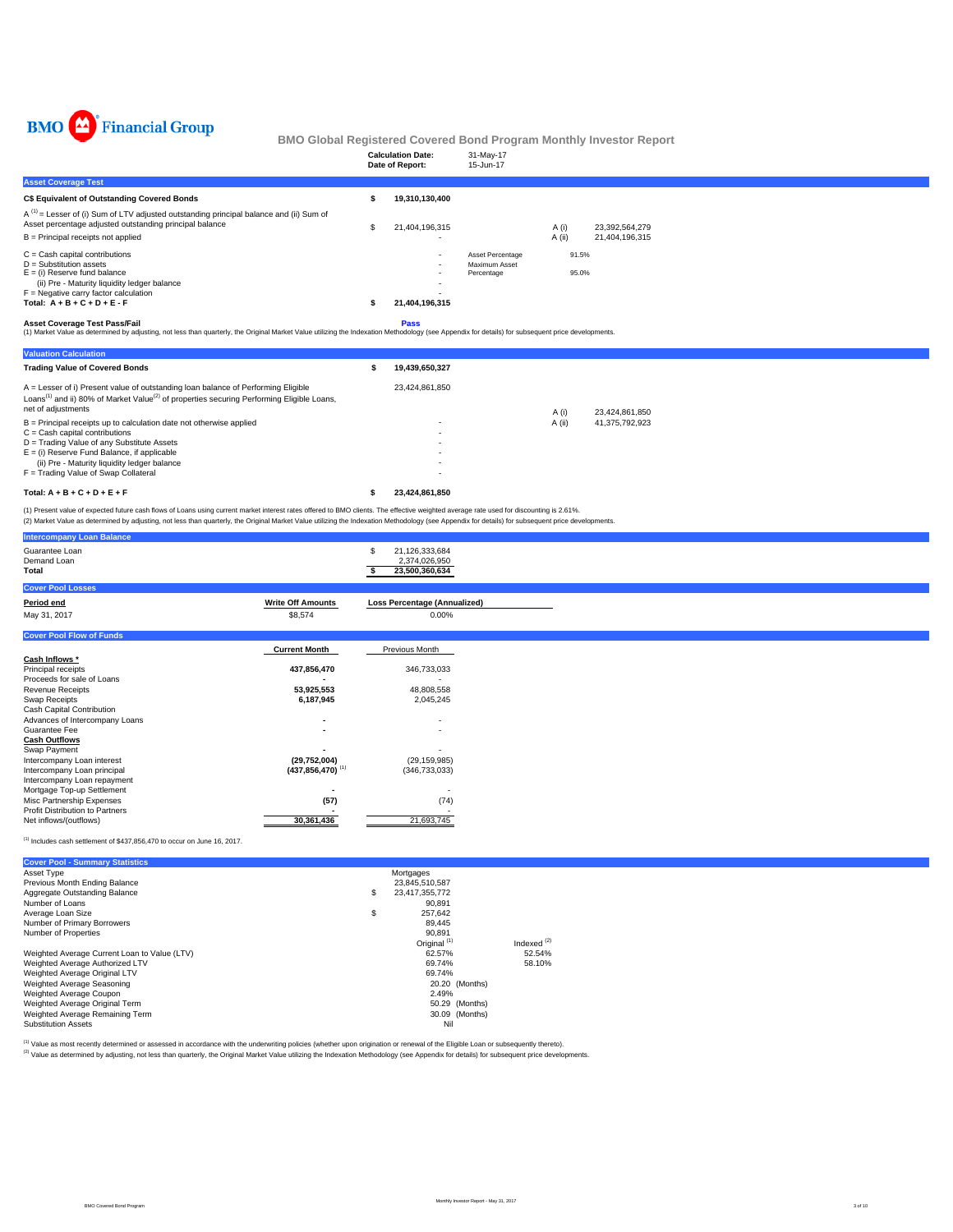

|                                                                                                                                                                                                                                            | <b>Calculation Date:</b><br>Date of Report: | 31-May-17<br>15-Jun-17      |          |                |
|--------------------------------------------------------------------------------------------------------------------------------------------------------------------------------------------------------------------------------------------|---------------------------------------------|-----------------------------|----------|----------------|
| <b>Asset Coverage Test</b>                                                                                                                                                                                                                 |                                             |                             |          |                |
| C\$ Equivalent of Outstanding Covered Bonds                                                                                                                                                                                                | 19,310,130,400                              |                             |          |                |
| $A^{(1)}$ = Lesser of (i) Sum of LTV adjusted outstanding principal balance and (ii) Sum of<br>Asset percentage adjusted outstanding principal balance                                                                                     | 21,404,196,315                              |                             | A (i)    | 23,392,564,279 |
| $B =$ Principal receipts not applied                                                                                                                                                                                                       |                                             |                             | $A$ (ii) | 21,404,196,315 |
| $C =$ Cash capital contributions                                                                                                                                                                                                           | $\overline{\phantom{a}}$                    | Asset Percentage            | 91.5%    |                |
| $D =$ Substitution assets<br>$E = (i)$ Reserve fund balance<br>(ii) Pre - Maturity liquidity ledger balance                                                                                                                                |                                             | Maximum Asset<br>Percentage | 95.0%    |                |
| $F =$ Negative carry factor calculation                                                                                                                                                                                                    |                                             |                             |          |                |
| Total: $A + B + C + D + E - F$                                                                                                                                                                                                             | 21,404,196,315                              |                             |          |                |
| <b>Asset Coverage Test Pass/Fail</b><br>(1) Market Value as determined by adjusting, not less than quarterly, the Original Market Value utilizing the Indexation Methodology (see Appendix for details) for subsequent price developments. | <b>Pass</b>                                 |                             |          |                |

| <b>Valuation Calculation</b>                                                                                                                                                                                                 |                |        |                |
|------------------------------------------------------------------------------------------------------------------------------------------------------------------------------------------------------------------------------|----------------|--------|----------------|
| <b>Trading Value of Covered Bonds</b>                                                                                                                                                                                        | 19.439.650.327 |        |                |
| A = Lesser of i) Present value of outstanding loan balance of Performing Eligible<br>Loans <sup>(1)</sup> and ii) 80% of Market Value <sup>(2)</sup> of properties securing Performing Eligible Loans,<br>net of adjustments | 23.424.861.850 | A (i)  | 23.424.861.850 |
| $B =$ Principal receipts up to calculation date not otherwise applied                                                                                                                                                        | ۰              | A (ii) | 41.375.792.923 |
| $C =$ Cash capital contributions                                                                                                                                                                                             | ۰              |        |                |
| D = Trading Value of any Substitute Assets                                                                                                                                                                                   | ۰              |        |                |
| $E =$ (i) Reserve Fund Balance, if applicable                                                                                                                                                                                | ۰              |        |                |
| (ii) Pre - Maturity liquidity ledger balance                                                                                                                                                                                 | ۰              |        |                |
| F = Trading Value of Swap Collateral                                                                                                                                                                                         | ٠              |        |                |
| Total: $A + B + C + D + E + F$                                                                                                                                                                                               | 23.424.861.850 |        |                |

(1) Present value of expected future cash flows of Loans using current market interest rates offered to BMO clients. The effective weighted average rate used for discounting is 2.61%.<br>(2) Market Value as determined by adju

 $^{(1)}$  Includes cash settlement of \$437,856,470 to occur on June 16, 2017.

| <b>Cover Pool - Summary Statistics</b>       |                         |               |
|----------------------------------------------|-------------------------|---------------|
| Asset Type                                   | Mortgages               |               |
| Previous Month Ending Balance                | 23.845.510.587          |               |
| Aggregate Outstanding Balance                | \$<br>23,417,355,772    |               |
| Number of Loans                              | 90.891                  |               |
| Average Loan Size                            | \$<br>257.642           |               |
| Number of Primary Borrowers                  | 89.445                  |               |
| Number of Properties                         | 90.891                  |               |
|                                              | Original <sup>(1)</sup> | Indexed $(2)$ |
| Weighted Average Current Loan to Value (LTV) | 62.57%                  | 52.54%        |
| Weighted Average Authorized LTV              | 69.74%                  | 58.10%        |
| Weighted Average Original LTV                | 69.74%                  |               |
| Weighted Average Seasoning                   | 20.20 (Months)          |               |
| Weighted Average Coupon                      | 2.49%                   |               |
| Weighted Average Original Term               | 50.29 (Months)          |               |
| Weighted Average Remaining Term              | 30.09 (Months)          |               |
| <b>Substitution Assets</b>                   | Nil                     |               |

<sup>(1)</sup> Value as most recently determined or assessed in accordance with the underwriting policies (whether upon origination or renewal of the Eligible Loan or subsequently thereto).<br><sup>(2)</sup> Value as determined by adjusting, n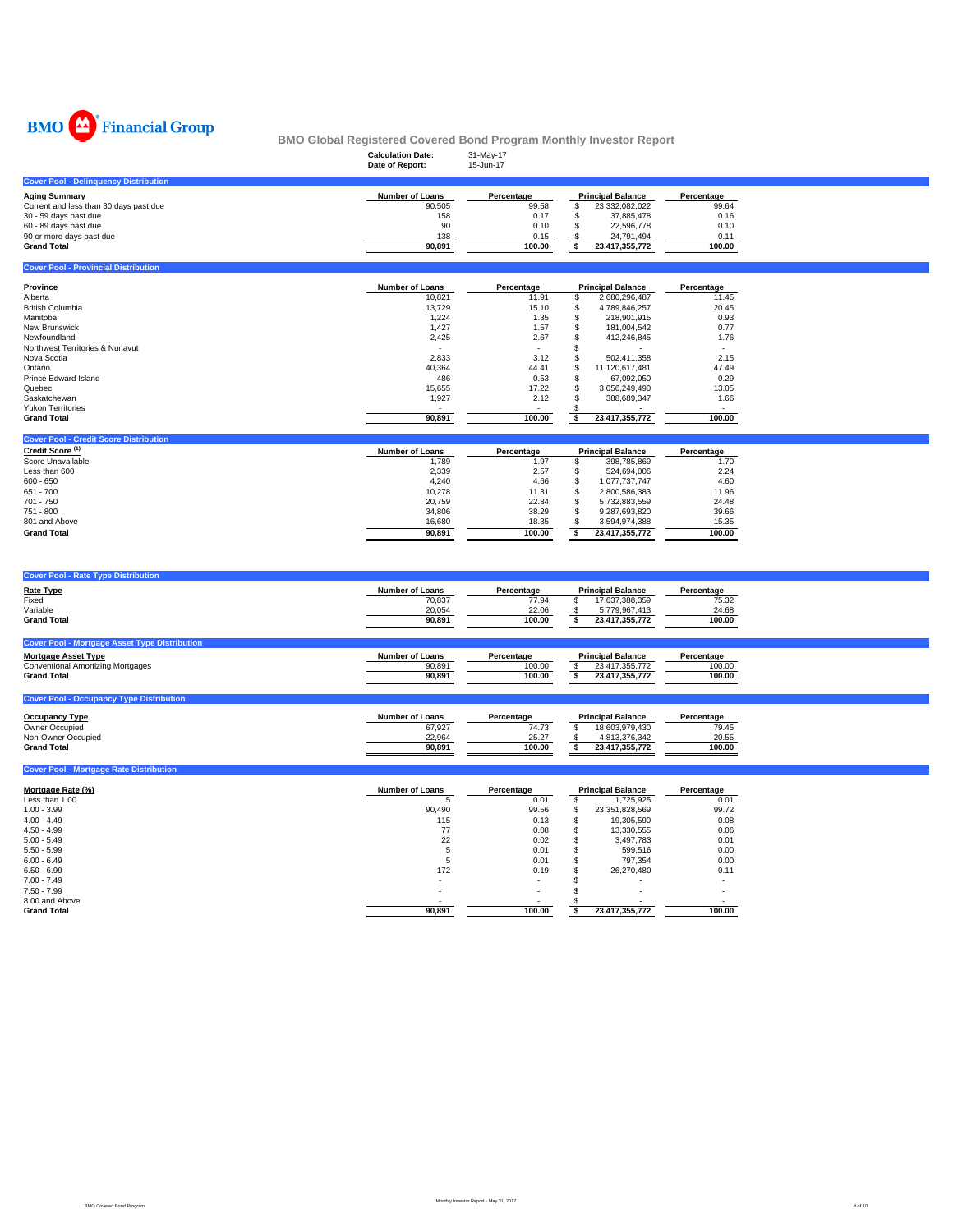

|                                              | <b>Calculation Date:</b><br>Date of Report: | 31-May-17<br>15-Jun-17 |                          |            |
|----------------------------------------------|---------------------------------------------|------------------------|--------------------------|------------|
| <b>Cover Pool - Delinquency Distribution</b> |                                             |                        |                          |            |
| <b>Aging Summary</b>                         | Number of Loans                             | Percentage             | <b>Principal Balance</b> | Percentage |
| Current and less than 30 days past due       | 90.505                                      | 99.58                  | 23.332.082.022           | 99.64      |
| 30 - 59 days past due                        | 158                                         | 0.17                   | 37.885.478               | 0.16       |
| 60 - 89 days past due                        | 90                                          | 0.10                   | 22.596.778               | 0.10       |
| 90 or more days past due                     | 138                                         | 0.15                   | 24.791.494               | 0.11       |
| <b>Grand Total</b>                           | 90.891                                      | 100.00                 | 23.417.355.772           | 100.00     |
|                                              |                                             |                        |                          |            |

| Province                        | <b>Number of Loans</b> | Percentage | <b>Principal Balance</b> | Percentage |
|---------------------------------|------------------------|------------|--------------------------|------------|
| Alberta                         | 10,821                 | 11.91      | 2,680,296,487            | 11.45      |
| <b>British Columbia</b>         | 13,729                 | 15.10      | 4,789,846,257            | 20.45      |
| Manitoba                        | 1,224                  | 1.35       | 218,901,915              | 0.93       |
| <b>New Brunswick</b>            | 1,427                  | 1.57       | 181,004,542              | 0.77       |
| Newfoundland                    | 2,425                  | 2.67       | 412.246.845              | 1.76       |
| Northwest Territories & Nunavut |                        |            |                          |            |
| Nova Scotia                     | 2,833                  | 3.12       | 502.411.358              | 2.15       |
| Ontario                         | 40,364                 | 44.41      | 11,120,617,481           | 47.49      |
| Prince Edward Island            | 486                    | 0.53       | 67,092,050               | 0.29       |
| Quebec                          | 15,655                 | 17.22      | 3.056.249.490            | 13.05      |
| Saskatchewan                    | 1,927                  | 2.12       | 388,689,347              | 1.66       |
| <b>Yukon Territories</b>        |                        |            |                          |            |
| <b>Grand Total</b>              | 90,891                 | 100.00     | 23,417,355,772           | 100.00     |

| Credit Score <sup>(1)</sup> | <b>Number of Loans</b> | Percentage | <b>Principal Balance</b> | Percentage |
|-----------------------------|------------------------|------------|--------------------------|------------|
| Score Unavailable           | 1,789                  | 1.97       | 398,785,869              | 1.70       |
| Less than 600               | 2,339                  | 2.57       | 524,694,006              | 2.24       |
| $600 - 650$                 | 4,240                  | 4.66       | 1,077,737,747            | 4.60       |
| $651 - 700$                 | 10,278                 | 11.31      | 2,800,586,383            | 11.96      |
| $701 - 750$                 | 20,759                 | 22.84      | 5,732,883,559            | 24.48      |
| 751 - 800                   | 34,806                 | 38.29      | 9,287,693,820            | 39.66      |
| 801 and Above               | 16,680                 | 18.35      | 3.594.974.388            | 15.35      |
| <b>Grand Total</b>          | 90.891                 | 100.00     | 23,417,355,772           | 100.00     |
|                             |                        |            |                          |            |

| <b>Cover Pool - Rate Type Distribution</b>           |                        |            |                          |            |
|------------------------------------------------------|------------------------|------------|--------------------------|------------|
| Rate Type                                            | <b>Number of Loans</b> | Percentage | <b>Principal Balance</b> | Percentage |
| Fixed                                                | 70.837                 | 77.94      | 17,637,388,359           | 75.32      |
| Variable                                             | 20,054                 | 22.06      | 5.779.967.413            | 24.68      |
| <b>Grand Total</b>                                   | 90.891                 | 100.00     | 23,417,355,772           | 100.00     |
|                                                      |                        |            |                          |            |
| <b>Cover Pool - Mortgage Asset Type Distribution</b> |                        |            |                          |            |
| <b>Mortgage Asset Type</b>                           | <b>Number of Loans</b> | Percentage | <b>Principal Balance</b> | Percentage |
| Conventional Amortizing Mortgages                    | 90.891                 | 100.00     | 23.417.355.772           | 100.00     |
| <b>Grand Total</b>                                   | 90.891                 | 100.00     | 23,417,355,772           | 100.00     |
|                                                      |                        |            |                          |            |
| <b>Cover Pool - Occupancy Type Distribution</b>      |                        |            |                          |            |

| <b>Occupancy Type</b> | <b>Number of Loans</b> | Percentage | <b>Principal Balance</b> |                | Percentage |
|-----------------------|------------------------|------------|--------------------------|----------------|------------|
| Owner Occupied        | 67.927                 | 74.73      |                          | 18.603.979.430 | 79.45      |
| Non-Owner Occupied    | 22.964                 | 25.27      |                          | 4.813.376.342  | 20.55      |
| <b>Grand Total</b>    | 90.891                 | 100.00     |                          | 23.417.355.772 | 100.00     |

| Mortgage Rate (%)  | <b>Number of Loans</b> | Percentage | <b>Principal Balance</b> |                | Percentage               |
|--------------------|------------------------|------------|--------------------------|----------------|--------------------------|
| Less than 1.00     |                        | 0.01       |                          | 1,725,925      | 0.01                     |
| $1.00 - 3.99$      | 90.490                 | 99.56      | S                        | 23,351,828,569 | 99.72                    |
| $4.00 - 4.49$      | 115                    | 0.13       | J.                       | 19,305.590     | 0.08                     |
| $4.50 - 4.99$      | 77                     | 0.08       | a.                       | 13,330,555     | 0.06                     |
| $5.00 - 5.49$      | 22                     | 0.02       | л                        | 3,497,783      | 0.01                     |
| $5.50 - 5.99$      |                        | 0.01       |                          | 599,516        | 0.00                     |
| $6.00 - 6.49$      |                        | 0.01       |                          | 797.354        | 0.00                     |
| $6.50 - 6.99$      | 172                    | 0.19       |                          | 26.270.480     | 0.11                     |
| $7.00 - 7.49$      |                        |            |                          |                | $\overline{\phantom{a}}$ |
| $7.50 - 7.99$      | ۰                      | ۰          |                          |                |                          |
| 8.00 and Above     |                        |            |                          |                |                          |
| <b>Grand Total</b> | 90,891                 | 100.00     |                          | 23,417,355,772 | 100.00                   |

**Cover Pool - Mortgage Rate Distribution**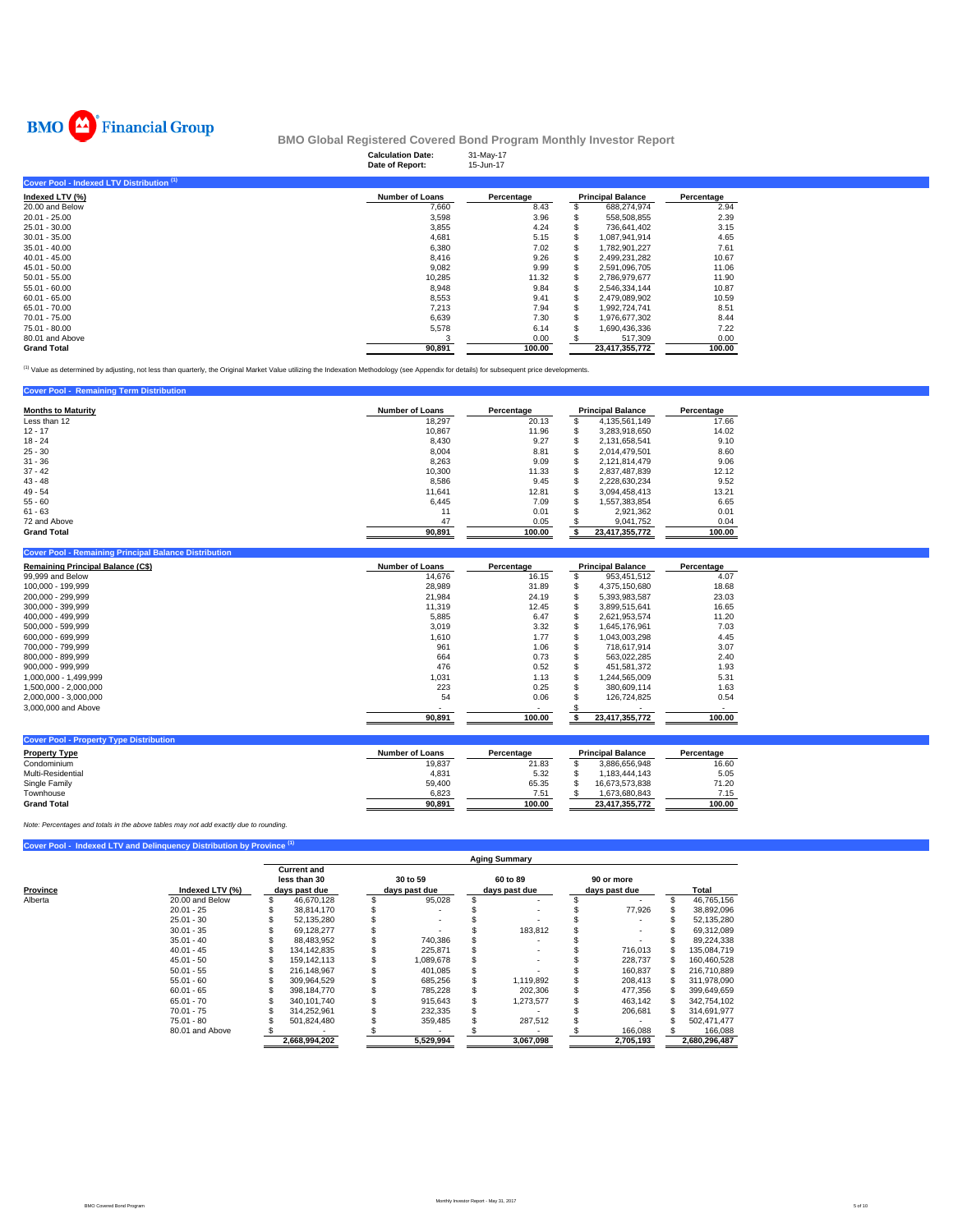

|                                           | <b>Calculation Date:</b><br>Date of Report: | 31-May-17<br>15-Jun-17 |                          |            |
|-------------------------------------------|---------------------------------------------|------------------------|--------------------------|------------|
| Cover Pool - Indexed LTV Distribution (1) |                                             |                        |                          |            |
| Indexed LTV (%)                           | <b>Number of Loans</b>                      | Percentage             | <b>Principal Balance</b> | Percentage |
| 20.00 and Below                           | 7,660                                       | 8.43                   | 688,274,974              | 2.94       |
| $20.01 - 25.00$                           | 3,598                                       | 3.96                   | 558,508,855              | 2.39       |
| 25.01 - 30.00                             | 3,855                                       | 4.24                   | 736.641.402              | 3.15       |
| $30.01 - 35.00$                           | 4,681                                       | 5.15                   | 1.087.941.914            | 4.65       |
| $35.01 - 40.00$                           | 6,380                                       | 7.02                   | 1,782,901,227            | 7.61       |
| $40.01 - 45.00$                           | 8,416                                       | 9.26                   | 2,499,231,282            | 10.67      |
| 45.01 - 50.00                             | 9,082                                       | 9.99                   | 2,591,096,705            | 11.06      |
| $50.01 - 55.00$                           | 10,285                                      | 11.32                  | 2,786,979,677            | 11.90      |
| $55.01 - 60.00$                           | 8,948                                       | 9.84                   | 2,546,334,144            | 10.87      |
| $60.01 - 65.00$                           | 8,553                                       | 9.41                   | 2,479,089,902            | 10.59      |
| 65.01 - 70.00                             | 7,213                                       | 7.94                   | 1,992,724,741            | 8.51       |
| 70.01 - 75.00                             | 6,639                                       | 7.30                   | 1,976,677,302            | 8.44       |
| 75.01 - 80.00                             | 5,578                                       | 6.14                   | 1,690,436,336            | 7.22       |
| 80.01 and Above                           | 3                                           | 0.00                   | 517,309                  | 0.00       |
| <b>Grand Total</b>                        | 90,891                                      | 100.00                 | 23,417,355,772           | 100.00     |

(1) Value as determined by adjusting, not less than quarterly, the Original Market Value utilizing the Indexation Methodology (see Appendix for details) for subsequent price developments.

#### **Cover Pool - Remaining Term Distribution**

| <b>Months to Maturity</b> | <b>Number of Loans</b> | Percentage | <b>Principal Balance</b> |                | Percentage |
|---------------------------|------------------------|------------|--------------------------|----------------|------------|
| Less than 12              | 18,297                 | 20.13      | a.                       | 4,135,561,149  | 17.66      |
| $12 - 17$                 | 10,867                 | 11.96      | ö.                       | 3.283.918.650  | 14.02      |
| $18 - 24$                 | 8,430                  | 9.27       | S                        | 2,131,658,541  | 9.10       |
| $25 - 30$                 | 8,004                  | 8.81       | £.                       | 2.014.479.501  | 8.60       |
| $31 - 36$                 | 8,263                  | 9.09       | S                        | 2,121,814,479  | 9.06       |
| $37 - 42$                 | 10.300                 | 11.33      | \$.                      | 2.837.487.839  | 12.12      |
| $43 - 48$                 | 8.586                  | 9.45       | £.                       | 2.228.630.234  | 9.52       |
| $49 - 54$                 | 11.641                 | 12.81      | S                        | 3.094.458.413  | 13.21      |
| $55 - 60$                 | 6,445                  | 7.09       | S                        | 1.557.383.854  | 6.65       |
| $61 - 63$                 | 11                     | 0.01       | S                        | 2,921,362      | 0.01       |
| 72 and Above              | 47                     | 0.05       |                          | 9.041.752      | 0.04       |
| <b>Grand Total</b>        | 90,891                 | 100.00     |                          | 23,417,355,772 | 100.00     |

| <b>Cover Pool - Remaining Principal Balance Distribution</b> |                        |            |   |                          |            |
|--------------------------------------------------------------|------------------------|------------|---|--------------------------|------------|
| <b>Remaining Principal Balance (C\$)</b>                     | <b>Number of Loans</b> | Percentage |   | <b>Principal Balance</b> | Percentage |
| 99,999 and Below                                             | 14,676                 | 16.15      |   | 953,451,512              | 4.07       |
| 100,000 - 199,999                                            | 28,989                 | 31.89      |   | 4.375.150.680            | 18.68      |
| 200.000 - 299.999                                            | 21,984                 | 24.19      |   | 5.393.983.587            | 23.03      |
| 300,000 - 399,999                                            | 11,319                 | 12.45      |   | 3.899.515.641            | 16.65      |
| 400,000 - 499,999                                            | 5,885                  | 6.47       | S | 2,621,953,574            | 11.20      |
| 500,000 - 599,999                                            | 3,019                  | 3.32       | ж | 1.645.176.961            | 7.03       |
| 600.000 - 699.999                                            | 1,610                  | 1.77       | ж | 1.043.003.298            | 4.45       |
| 700.000 - 799.999                                            | 961                    | 1.06       | S | 718.617.914              | 3.07       |
| 800.000 - 899.999                                            | 664                    | 0.73       |   | 563.022.285              | 2.40       |
| 900.000 - 999.999                                            | 476                    | 0.52       |   | 451.581.372              | 1.93       |
| 1,000,000 - 1,499,999                                        | 1.031                  | 1.13       |   | 1.244.565.009            | 5.31       |
| 1,500,000 - 2,000,000                                        | 223                    | 0.25       |   | 380.609.114              | 1.63       |
| 2,000,000 - 3,000,000                                        | 54                     | 0.06       |   | 126,724,825              | 0.54       |
| 3,000,000 and Above                                          |                        |            |   |                          |            |
|                                                              | 90,891                 | 100.00     |   | 23,417,355,772           | 100.00     |
|                                                              |                        |            |   |                          |            |

| <b>Cover Pool - Property Type Distribution</b> |                 |            |                          |                |            |
|------------------------------------------------|-----------------|------------|--------------------------|----------------|------------|
| <b>Property Type</b>                           | Number of Loans | Percentage | <b>Principal Balance</b> |                | Percentage |
| Condominium                                    | 19,837          | 21.83      |                          | 3.886.656.948  | 16.60      |
| Multi-Residential                              | 4.831           | 5.32       |                          | .183.444.143   | 5.05       |
| Single Family                                  | 59.400          | 65.35      |                          | 16.673.573.838 | 71.20      |
| Townhouse                                      | 6.823           | 7.51       |                          | 1.673.680.843  | 7.15       |
| <b>Grand Total</b>                             | 90.891          | 100.00     |                          | 23.417.355.772 | 100.00     |

*Note: Percentages and totals in the above tables may not add exactly due to rounding.*

#### **Cover Pool - Indexed LTV and Delinquency Distribution by Province <b>1**

|              |                 | <b>Aging Summary</b>                                |  |                           |  |                           |  |                             |  |               |  |  |  |  |
|--------------|-----------------|-----------------------------------------------------|--|---------------------------|--|---------------------------|--|-----------------------------|--|---------------|--|--|--|--|
| Province     | Indexed LTV (%) | <b>Current and</b><br>less than 30<br>days past due |  | 30 to 59<br>days past due |  | 60 to 89<br>days past due |  | 90 or more<br>days past due |  | Total         |  |  |  |  |
| Alberta      | 20.00 and Below | 46.670.128                                          |  | 95,028                    |  |                           |  |                             |  | 46,765,156    |  |  |  |  |
| $20.01 - 25$ |                 | 38.814.170                                          |  |                           |  |                           |  | 77,926                      |  | 38,892,096    |  |  |  |  |
| $25.01 - 30$ |                 | 52.135.280                                          |  |                           |  |                           |  |                             |  | 52,135,280    |  |  |  |  |
| $30.01 - 35$ |                 | 69.128.277                                          |  |                           |  | 183.812                   |  |                             |  | 69.312.089    |  |  |  |  |
| $35.01 - 40$ |                 | 88.483.952                                          |  | 740.386                   |  |                           |  |                             |  | 89.224.338    |  |  |  |  |
| $40.01 - 45$ |                 | 134.142.835                                         |  | 225.871                   |  |                           |  | 716.013                     |  | 135,084,719   |  |  |  |  |
| $45.01 - 50$ |                 | 159.142.113                                         |  | 1,089,678                 |  |                           |  | 228,737                     |  | 160,460,528   |  |  |  |  |
| $50.01 - 55$ |                 | 216.148.967                                         |  | 401.085                   |  |                           |  | 160.837                     |  | 216.710.889   |  |  |  |  |
| $55.01 - 60$ |                 | 309.964.529                                         |  | 685,256                   |  | 1,119,892                 |  | 208.413                     |  | 311.978.090   |  |  |  |  |
| $60.01 - 65$ |                 | 398.184.770                                         |  | 785,228                   |  | 202.306                   |  | 477,356                     |  | 399,649,659   |  |  |  |  |
| $65.01 - 70$ |                 | 340.101.740                                         |  | 915,643                   |  | 1.273.577                 |  | 463.142                     |  | 342.754.102   |  |  |  |  |
| $70.01 - 75$ |                 | 314.252.961                                         |  | 232.335                   |  |                           |  | 206.681                     |  | 314.691.977   |  |  |  |  |
| $75.01 - 80$ |                 | 501.824.480                                         |  | 359.485                   |  | 287.512                   |  |                             |  | 502.471.477   |  |  |  |  |
|              | 80.01 and Above |                                                     |  |                           |  |                           |  | 166,088                     |  | 166,088       |  |  |  |  |
|              |                 | 2.668.994.202                                       |  | 5,529,994                 |  | 3,067,098                 |  | 2,705,193                   |  | 2.680.296.487 |  |  |  |  |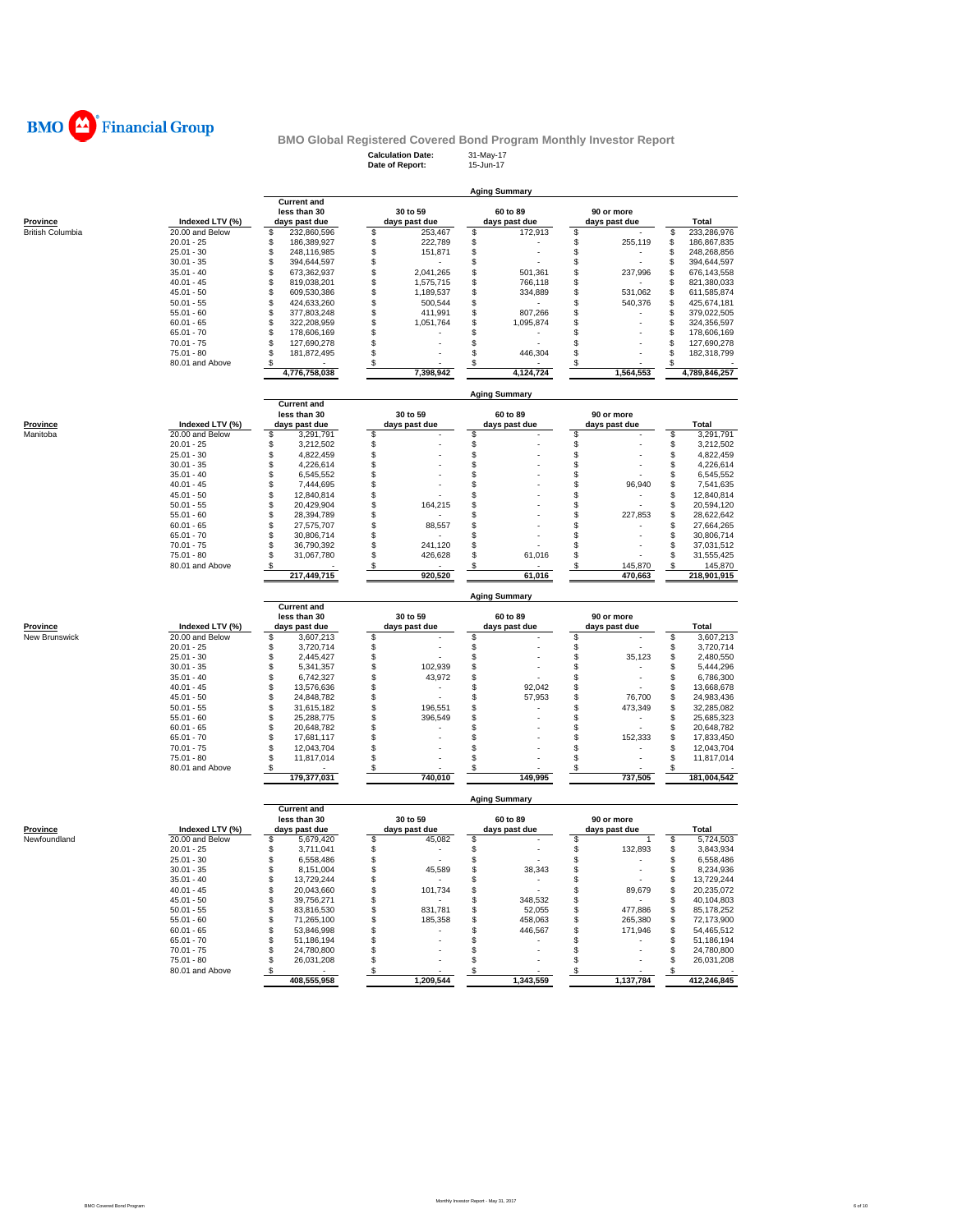

# **BMO Global Registered Covered Bond Program Monthly Investor Report**<br>Calculation Date: 31-May-17<br>Date of Report: 15-Jun-17

**Calculation Date:** 31-May-17 **Date of Report:** 15-Jun-17

|                         |                                 |                                      |                                          | <b>Aging Summary</b>          |                                |                                      |
|-------------------------|---------------------------------|--------------------------------------|------------------------------------------|-------------------------------|--------------------------------|--------------------------------------|
|                         |                                 | <b>Current and</b><br>less than 30   | 30 to 59                                 | 60 to 89                      | 90 or more                     |                                      |
| Province                | Indexed LTV (%)                 | days past due                        | days past due                            | days past due                 | days past due                  | Total                                |
| <b>British Columbia</b> | 20.00 and Below                 | \$<br>232,860,596                    | \$<br>253,467                            | \$<br>172,913                 | \$                             | 233,286,976<br>\$                    |
|                         | $20.01 - 25$                    | \$<br>186,389,927                    | \$<br>222,789                            | \$                            | \$<br>255,119                  | \$<br>186,867,835                    |
|                         | $25.01 - 30$                    | \$<br>248,116,985                    | \$<br>151,871                            | \$                            | \$                             | \$<br>248,268,856                    |
|                         | $30.01 - 35$                    | \$<br>394,644,597                    | \$                                       | \$                            | \$                             | 394,644,597<br>\$                    |
|                         | $35.01 - 40$                    | \$<br>673,362,937                    | 2,041,265<br>\$                          | \$<br>501,361                 | \$<br>237,996                  | 676,143,558<br>\$                    |
|                         | $40.01 - 45$                    | \$<br>819,038,201                    | \$<br>1,575,715                          | \$<br>766,118                 | \$                             | 821,380,033<br>\$                    |
|                         | $45.01 - 50$                    | \$<br>609,530,386                    | \$<br>1,189,537                          | \$<br>334,889                 | \$<br>531,062                  | \$<br>611,585,874                    |
|                         | $50.01 - 55$                    | \$<br>424,633,260                    | \$<br>500,544                            | \$                            | \$<br>540,376                  | \$<br>425,674,181                    |
|                         | $55.01 - 60$                    | \$<br>377,803,248                    | \$<br>411,991                            | \$<br>807,266                 | \$                             | \$<br>379,022,505                    |
|                         | $60.01 - 65$                    | \$<br>322,208,959                    | \$<br>1,051,764                          | \$<br>1,095,874               | \$                             | \$<br>324,356,597                    |
|                         | $65.01 - 70$                    | \$<br>178,606,169                    | \$                                       | \$                            | \$                             | \$<br>178,606,169                    |
|                         | $70.01 - 75$                    | \$<br>127,690,278                    | \$                                       | \$<br>÷                       | \$                             | 127,690,278<br>\$                    |
|                         | $75.01 - 80$                    | \$<br>181,872,495                    | \$                                       | \$<br>446,304                 | \$                             | 182,318,799<br>\$                    |
|                         | 80.01 and Above                 | S                                    | \$                                       | \$                            | \$                             |                                      |
|                         |                                 | 4,776,758,038                        | 7,398,942                                | 4,124,724                     | 1,564,553                      | 4,789,846,257                        |
|                         |                                 |                                      |                                          | <b>Aging Summary</b>          |                                |                                      |
|                         |                                 | <b>Current and</b><br>less than 30   | 30 to 59                                 | 60 to 89                      | 90 or more                     |                                      |
| <b>Province</b>         | Indexed LTV (%)                 | days past due                        | days past due                            | days past due                 | days past due                  | Total                                |
| Manitoba                | 20.00 and Below                 | \$<br>3,291,791                      | \$                                       | \$                            | \$                             | \$<br>3,291,791                      |
|                         | $20.01 - 25$                    | \$<br>3,212,502                      | \$                                       | \$                            | \$                             | \$<br>3,212,502                      |
|                         | $25.01 - 30$                    | \$<br>4,822,459                      | \$                                       | $\ddot{\$}$                   | \$                             | \$<br>4,822,459                      |
|                         | $30.01 - 35$                    | \$<br>4,226,614                      | \$                                       | $\mathbb{S}$                  | \$                             | \$<br>4,226,614                      |
|                         | $35.01 - 40$                    | \$<br>6,545,552                      | \$                                       | \$                            | \$                             | \$<br>6,545,552                      |
|                         | $40.01 - 45$                    | \$<br>7,444,695                      | \$                                       | \$                            | \$<br>96,940                   | \$<br>7,541,635                      |
|                         |                                 |                                      |                                          |                               | \$                             |                                      |
|                         | $45.01 - 50$<br>$50.01 - 55$    | \$<br>12,840,814<br>\$<br>20,429,904 | \$<br>\$<br>164,215                      | \$<br>\$                      | \$                             | \$<br>12,840,814<br>\$<br>20,594,120 |
|                         |                                 | \$<br>28,394,789                     | \$                                       |                               | S<br>227,853                   | \$<br>28,622,642                     |
|                         | $55.01 - 60$                    | \$                                   |                                          | \$                            | \$                             |                                      |
|                         | $60.01 - 65$                    | 27,575,707<br>\$                     | \$<br>88,557<br>\$                       | \$                            | \$                             | \$<br>27,664,265                     |
|                         | $65.01 - 70$<br>$70.01 - 75$    | 30,806,714<br>\$<br>36,790,392       | \$<br>241,120                            | \$                            |                                | \$<br>30,806,714<br>\$<br>37,031,512 |
|                         | $75.01 - 80$                    | \$<br>31,067,780                     | \$<br>426,628                            | \$<br>\$<br>61,016            | \$<br>\$                       | \$<br>31,555,425                     |
|                         |                                 |                                      |                                          |                               |                                |                                      |
|                         | 80.01 and Above                 | \$<br>217,449,715                    | \$<br>920,520                            | \$<br>61,016                  | \$<br>145,870<br>470,663       | \$<br>145,870<br>218,901,915         |
|                         |                                 |                                      |                                          |                               |                                |                                      |
|                         |                                 |                                      |                                          |                               |                                |                                      |
|                         |                                 |                                      |                                          | <b>Aging Summary</b>          |                                |                                      |
|                         |                                 | <b>Current and</b><br>less than 30   |                                          |                               |                                |                                      |
|                         |                                 |                                      | 30 to 59                                 | 60 to 89                      | 90 or more                     | Total                                |
| Province                | Indexed LTV (%)                 | days past due                        | days past due                            | days past due                 | days past due                  |                                      |
| New Brunswick           | 20.00 and Below<br>$20.01 - 25$ | 3,607,213<br>\$                      | \$                                       | \$                            | \$                             | \$<br>3,607,213                      |
|                         |                                 | \$<br>3,720,714                      | \$                                       | \$                            | \$                             | \$<br>3,720,714                      |
|                         | $25.01 - 30$                    | $\,$<br>2,445,427                    | \$                                       | \$                            | \$<br>35,123<br>\$             | \$<br>2,480,550                      |
|                         | $30.01 - 35$                    | \$<br>5,341,357                      | \$<br>102,939                            | \$                            | ÷.                             | \$<br>5,444,296                      |
|                         | $35.01 - 40$                    | \$<br>6,742,327                      | \$<br>43,972<br>$\overline{\phantom{a}}$ | \$                            | \$                             | \$<br>6,786,300                      |
|                         | $40.01 - 45$<br>$45.01 - 50$    | $\,$<br>13,576,636<br>24.848.782     | \$                                       | \$<br>92,042                  | \$<br>76.700                   | \$<br>13,668,678                     |
|                         |                                 | \$                                   | \$                                       | \$<br>57,953                  | \$                             | \$<br>24,983,436                     |
|                         | $50.01 - 55$<br>$55.01 - 60$    | \$<br>31,615,182                     | \$<br>196,551                            | \$                            | \$<br>473,349                  | \$<br>32,285,082                     |
|                         |                                 | \$<br>25,288,775                     | \$<br>396,549                            | \$                            | \$                             | \$<br>25,685,323                     |
|                         | $60.01 - 65$                    | \$<br>20,648,782                     | \$                                       | \$                            | \$<br>S                        | \$<br>20,648,782                     |
|                         | $65.01 - 70$                    | \$<br>17,681,117                     | \$                                       | \$                            | 152,333                        | \$<br>17,833,450                     |
|                         | $70.01 - 75$                    | \$<br>12,043,704                     | \$                                       | \$                            | \$                             | \$<br>12,043,704                     |
|                         | $75.01 - 80$<br>80.01 and Above | $\,$<br>11,817,014<br>\$             | \$<br>\$                                 | \$<br>\$                      | \$<br>\$                       | \$<br>11,817,014<br>S                |
|                         |                                 | 179,377,031                          | 740,010                                  | 149,995                       | 737,505                        | 181,004,542                          |
|                         |                                 |                                      |                                          | <b>Aging Summary</b>          |                                |                                      |
|                         |                                 | <b>Current</b> and<br>less than 30   | 30 to 59                                 | 60 to 89                      | 90 or more                     |                                      |
|                         |                                 |                                      | days past due                            |                               |                                | Total                                |
| Province                | Indexed LTV (%)                 | days past due                        |                                          | days past due                 | days past due<br>1             |                                      |
| Newfoundland            | 20.00 and Below<br>$20.01 - 25$ | \$<br>5,679,420<br>\$<br>3,711,041   | \$<br>45,082<br>\$<br>٠                  | \$<br>\$                      | \$<br>\$<br>132,893            | \$<br>5,724,503<br>\$<br>3,843,934   |
|                         | $25.01 - 30$                    | \$<br>6,558,486                      | \$                                       | \$                            | \$                             | \$<br>6,558,486                      |
|                         | $30.01 - 35$                    | 8,151,004                            | 45,589                                   | 38,343                        | $\overline{\phantom{a}}$       | 8,234,936                            |
|                         | $35.01 - 40$                    | \$<br>13,729,244                     | \$<br>\$                                 | \$<br>\$<br>٠                 | \$<br>\$                       | \$<br>\$<br>13,729,244               |
|                         | $40.01 - 45$                    | \$<br>20,043,660                     | \$                                       | \$                            | \$                             | \$<br>20,235,072                     |
|                         | $45.01 - 50$                    | \$                                   | 101,734                                  |                               | 89,679                         |                                      |
|                         |                                 | \$<br>39,756,271                     | \$                                       | \$<br>348,532                 | \$                             | \$<br>40,104,803                     |
|                         | $50.01 - 55$<br>$55.01 - 60$    | \$<br>83,816,530                     | \$<br>831,781<br>\$<br>185,358           | \$<br>52,055<br>\$<br>458,063 | \$<br>477,886<br>\$<br>265,380 | \$<br>85,178,252                     |
|                         | $60.01 - 65$                    | \$<br>71,265,100<br>\$<br>53,846,998 | \$                                       | \$<br>446,567                 | S<br>171,946                   | \$<br>72,173,900<br>\$<br>54,465,512 |
|                         |                                 |                                      |                                          |                               | \$                             |                                      |
|                         | $65.01 - 70$                    | \$<br>51,186,194<br>\$<br>24,780,800 | \$                                       | \$<br>\$                      | \$                             | \$<br>51,186,194<br>\$               |
|                         | $70.01 - 75$                    |                                      | \$                                       | \$                            | \$                             | 24,780,800                           |
|                         | 75.01 - 80<br>80.01 and Above   | \$<br>26,031,208<br>\$               | \$<br>\$                                 |                               |                                | \$<br>26,031,208                     |
|                         |                                 | 408,555,958                          | 1,209,544                                | 1,343,559                     | 1,137,784                      | 412,246,845                          |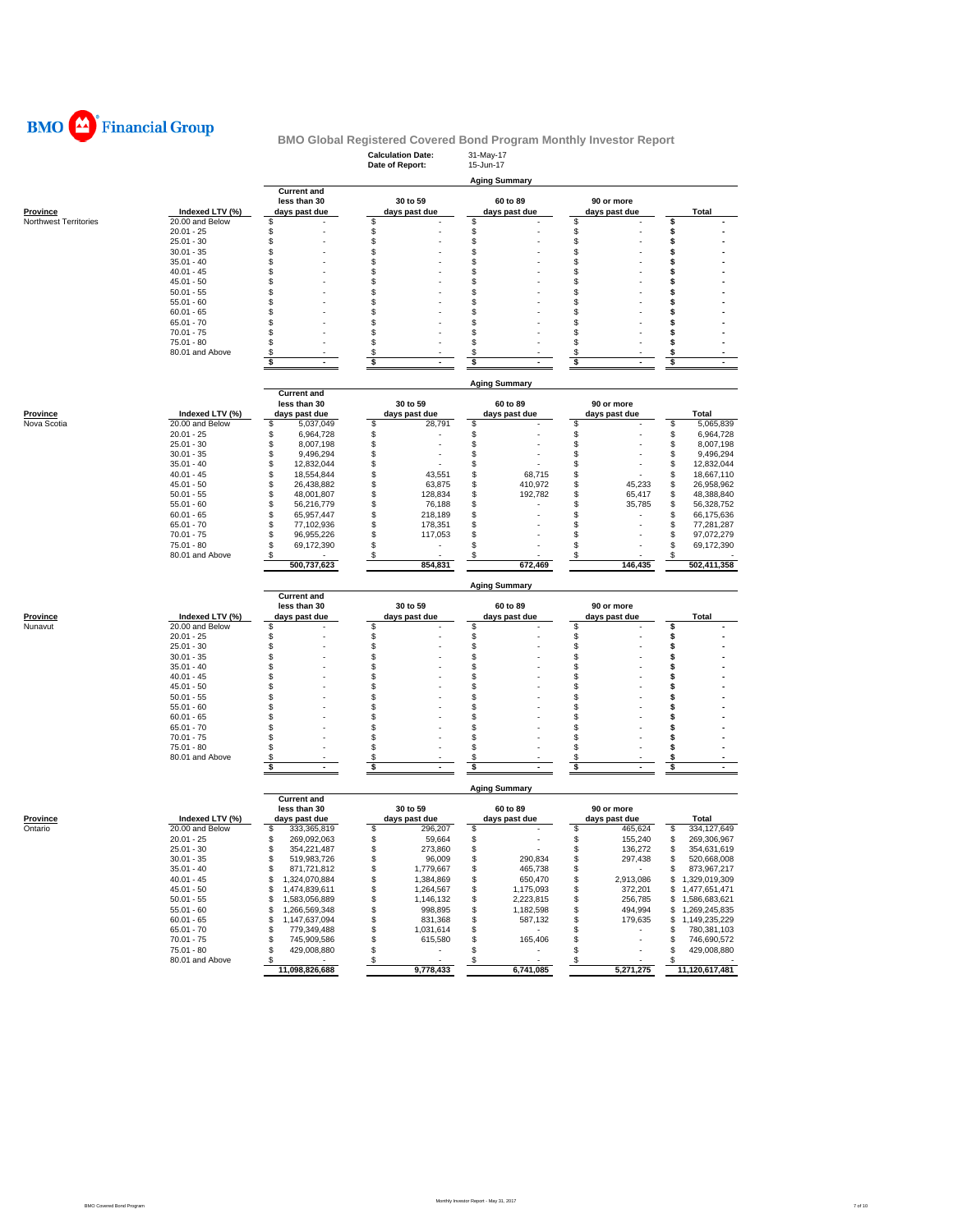

|                            |                                    |                                      | <b>Calculation Date:</b><br>Date of Report: | 31-May-17<br>15-Jun-17         |                             |                                            |
|----------------------------|------------------------------------|--------------------------------------|---------------------------------------------|--------------------------------|-----------------------------|--------------------------------------------|
|                            |                                    |                                      |                                             | <b>Aging Summary</b>           |                             |                                            |
|                            |                                    | <b>Current and</b>                   |                                             |                                |                             |                                            |
| <u>Province</u>            | Indexed LTV (%)                    | less than 30<br>days past due        | 30 to 59<br>days past due                   | 60 to 89<br>days past due      | 90 or more<br>days past due | Total                                      |
| Northwest Territories      | 20.00 and Below                    | \$                                   | \$                                          | \$                             | \$                          | \$                                         |
|                            | $20.01 - 25$                       | \$                                   | \$                                          | \$                             | \$                          | \$                                         |
|                            | $25.01 - 30$                       | \$                                   | \$                                          | \$                             | \$                          | \$                                         |
|                            | $30.01 - 35$                       | \$                                   | \$                                          | \$                             | \$                          | S                                          |
|                            | $35.01 - 40$                       | \$                                   | \$                                          | \$                             | \$                          | \$                                         |
|                            | $40.01 - 45$                       | \$<br>\$                             | \$<br>\$                                    | \$<br>\$                       | \$<br>\$                    | \$<br>\$                                   |
|                            | $45.01 - 50$<br>$50.01 - 55$       | \$                                   | S                                           | \$                             | \$                          | S                                          |
|                            | $55.01 - 60$                       | \$                                   | S                                           | \$                             | \$                          | S                                          |
|                            | $60.01 - 65$                       | \$                                   | S                                           | \$                             | \$                          |                                            |
|                            | $65.01 - 70$                       | S                                    | £.                                          | \$                             | \$                          | S                                          |
|                            | $70.01 - 75$                       | \$                                   | \$                                          | \$                             | \$                          | s                                          |
|                            | 75.01 - 80                         | \$                                   | \$                                          | \$                             | \$                          | s                                          |
|                            | 80.01 and Above                    | \$                                   | \$                                          | \$                             | \$                          | \$                                         |
|                            |                                    | \$<br>ä,                             | \$                                          | \$                             | \$<br>÷.                    | \$<br>$\mathbf{r}$                         |
|                            |                                    |                                      |                                             | <b>Aging Summary</b>           |                             |                                            |
|                            |                                    | <b>Current and</b>                   |                                             |                                |                             |                                            |
|                            |                                    | less than 30                         | 30 to 59                                    | 60 to 89                       | 90 or more                  |                                            |
| Province                   | Indexed LTV (%)                    | days past due                        | days past due                               | days past due                  | days past due               | Total                                      |
| Nova Scotia                | 20.00 and Below                    | \$<br>5,037,049                      | 28,791<br>\$                                | \$                             | \$                          | \$<br>5,065,839                            |
|                            | $20.01 - 25$                       | \$<br>6,964,728                      | \$                                          | \$                             | \$                          | \$<br>6,964,728                            |
|                            | $25.01 - 30$                       | \$<br>8,007,198                      | \$                                          | \$                             | \$                          | \$<br>8,007,198                            |
|                            | $30.01 - 35$                       | \$<br>9,496,294                      | \$                                          | \$                             | \$                          | \$<br>9,496,294                            |
|                            | $35.01 - 40$                       | \$<br>12,832,044                     | \$                                          | \$                             | \$                          | 12,832,044<br>\$                           |
|                            | $40.01 - 45$                       | \$<br>18,554,844                     | \$<br>43,551                                | \$<br>68,715                   | \$                          | 18,667,110<br>\$                           |
|                            | $45.01 - 50$                       | \$<br>26,438,882                     | \$<br>63,875                                | \$<br>410,972                  | \$<br>45,233                | \$<br>26,958,962                           |
|                            | $50.01 - 55$                       | \$<br>48,001,807                     | \$<br>128,834<br>\$                         | \$<br>192,782                  | 65,417<br>S<br>S            | \$<br>48,388,840                           |
|                            | $55.01 - 60$<br>$60.01 - 65$       | \$<br>56,216,779<br>\$<br>65,957,447 | 76,188<br>\$<br>218,189                     | \$<br>\$                       | 35,785<br>\$                | \$<br>56,328,752<br>\$<br>66,175,636       |
|                            | $65.01 - 70$                       | \$<br>77,102,936                     | \$<br>178,351                               | \$                             | \$                          | \$<br>77,281,287                           |
|                            | $70.01 - 75$                       | \$<br>96,955,226                     | \$<br>117,053                               | \$                             | \$                          | \$<br>97,072,279                           |
|                            | $75.01 - 80$                       | \$<br>69,172,390                     | \$<br>٠                                     | \$                             | \$                          | \$<br>69,172,390                           |
|                            | 80.01 and Above                    | \$                                   | \$                                          | S                              | \$                          | S                                          |
|                            |                                    | 500,737,623                          | 854,831                                     | 672,469                        | 146,435                     | 502,411,358                                |
|                            |                                    |                                      |                                             | <b>Aging Summary</b>           |                             |                                            |
|                            |                                    | <b>Current and</b>                   |                                             |                                |                             |                                            |
|                            |                                    | less than 30                         | 30 to 59                                    | 60 to 89                       | 90 or more                  |                                            |
| <b>Province</b><br>Nunavut | Indexed LTV (%)<br>20.00 and Below | days past due<br>\$                  | days past due<br>\$                         | days past due<br>\$            | days past due<br>\$         | <b>Total</b><br>\$                         |
|                            | $20.01 - 25$                       | \$                                   | \$                                          | \$                             | \$                          | \$                                         |
|                            | $25.01 - 30$                       | \$                                   | \$                                          | \$                             | \$                          | \$                                         |
|                            | $30.01 - 35$                       | \$                                   | \$                                          | \$                             | \$                          | S                                          |
|                            | $35.01 - 40$                       | \$                                   | S                                           | \$                             | \$                          | S                                          |
|                            | $40.01 - 45$                       | \$                                   | \$                                          | \$                             | S                           | S                                          |
|                            | $45.01 - 50$                       | \$                                   | S                                           | \$                             | \$                          | s                                          |
|                            | $50.01 - 55$                       | \$                                   | S                                           | \$                             | \$                          | s                                          |
|                            | $55.01 - 60$                       | \$                                   | S                                           | \$                             | \$                          |                                            |
|                            | $60.01 - 65$                       | \$                                   | S                                           | \$                             | \$                          | s                                          |
|                            | $65.01 - 70$<br>$70.01 - 75$       | \$<br>S                              | S<br>\$                                     | \$<br>\$                       | \$<br>\$                    | S<br>S                                     |
|                            | $75.01 - 80$                       | \$                                   | \$                                          | \$                             | \$                          | \$                                         |
|                            | 80.01 and Above                    | \$                                   | \$                                          | \$                             | \$                          | \$                                         |
|                            |                                    | \$                                   | \$                                          | \$                             | \$                          | \$<br>$\blacksquare$                       |
|                            |                                    |                                      |                                             |                                |                             |                                            |
|                            |                                    | <b>Current and</b>                   |                                             | <b>Aging Summary</b>           |                             |                                            |
|                            |                                    | less than 30                         | 30 to 59                                    | 60 to 89                       | 90 or more                  |                                            |
| Province                   | Indexed LTV (%)                    | days past due                        | days past due                               | days past due                  | days past due               | Total                                      |
| Ontario                    | 20.00 and Below                    | \$<br>333,365,819                    | \$<br>296,207                               | \$                             | \$<br>465,624               | \$<br>334,127,649                          |
|                            | $20.01 - 25$                       | \$<br>269,092,063                    | \$<br>59,664                                | \$                             | \$<br>155,240               | 269,306,967<br>\$                          |
|                            | $25.01 - 30$                       | 354,221,487<br>S                     | 273,860<br>S                                | \$                             | 136,272<br>S                | 354,631,619<br>S                           |
|                            | $30.01 - 35$                       | \$<br>519,983,726                    | \$<br>96,009                                | \$<br>290,834                  | \$<br>297,438               | \$<br>520,668,008                          |
|                            | $35.01 - 40$                       | \$<br>871,721,812                    | \$<br>1,779,667                             | \$<br>465,738                  | \$<br>$\sim$                | 873,967,217<br>\$<br>\$1,329,019,309       |
|                            | $40.01 - 45$                       | \$<br>1,324,070,884<br>1,474,839,611 | \$<br>1,384,869                             | \$<br>650,470                  | \$<br>2,913,086             |                                            |
|                            | $45.01 - 50$<br>$50.01 - 55$       | \$<br>\$<br>1,583,056,889            | 1,264,567<br>\$<br>\$<br>1,146,132          | \$<br>1,175,093<br>2,223,815   | \$<br>372,201<br>256,785    | 1,477,651,471<br>\$                        |
|                            | $55.01 - 60$                       | \$<br>1,266,569,348                  | 998,895<br>\$                               | \$<br>\$<br>1,182,598          | \$<br>\$<br>494,994         | 1,586,683,621<br>\$<br>\$<br>1,269,245,835 |
|                            | $60.01 - 65$                       | \$<br>1,147,637,094                  | 831,368<br>\$                               | \$<br>587,132                  | \$<br>179,635               | \$<br>1,149,235,229                        |
|                            | $65.01 - 70$                       | \$<br>779,349,488                    | \$<br>1,031,614                             | \$<br>$\sim$ $-$               | \$<br>$\sim$                | 780,381,103<br>\$                          |
|                            | $70.01 - 75$                       | \$<br>745,909,586                    | \$<br>615,580                               | \$<br>165,406                  | \$<br>٠                     | \$<br>746,690,572                          |
|                            | $75.01 - 80$                       | \$<br>429,008,880                    | \$<br>$\overline{\phantom{a}}$              | \$<br>$\overline{\phantom{a}}$ | \$                          | 429,008,880<br>\$                          |
|                            | 80.01 and Above                    | \$                                   | \$<br>÷,                                    | \$<br>٠                        | \$                          | \$                                         |
|                            |                                    | 11,098,826,688                       | 9,778,433                                   | 6,741,085                      | 5,271,275                   | 11,120,617,481                             |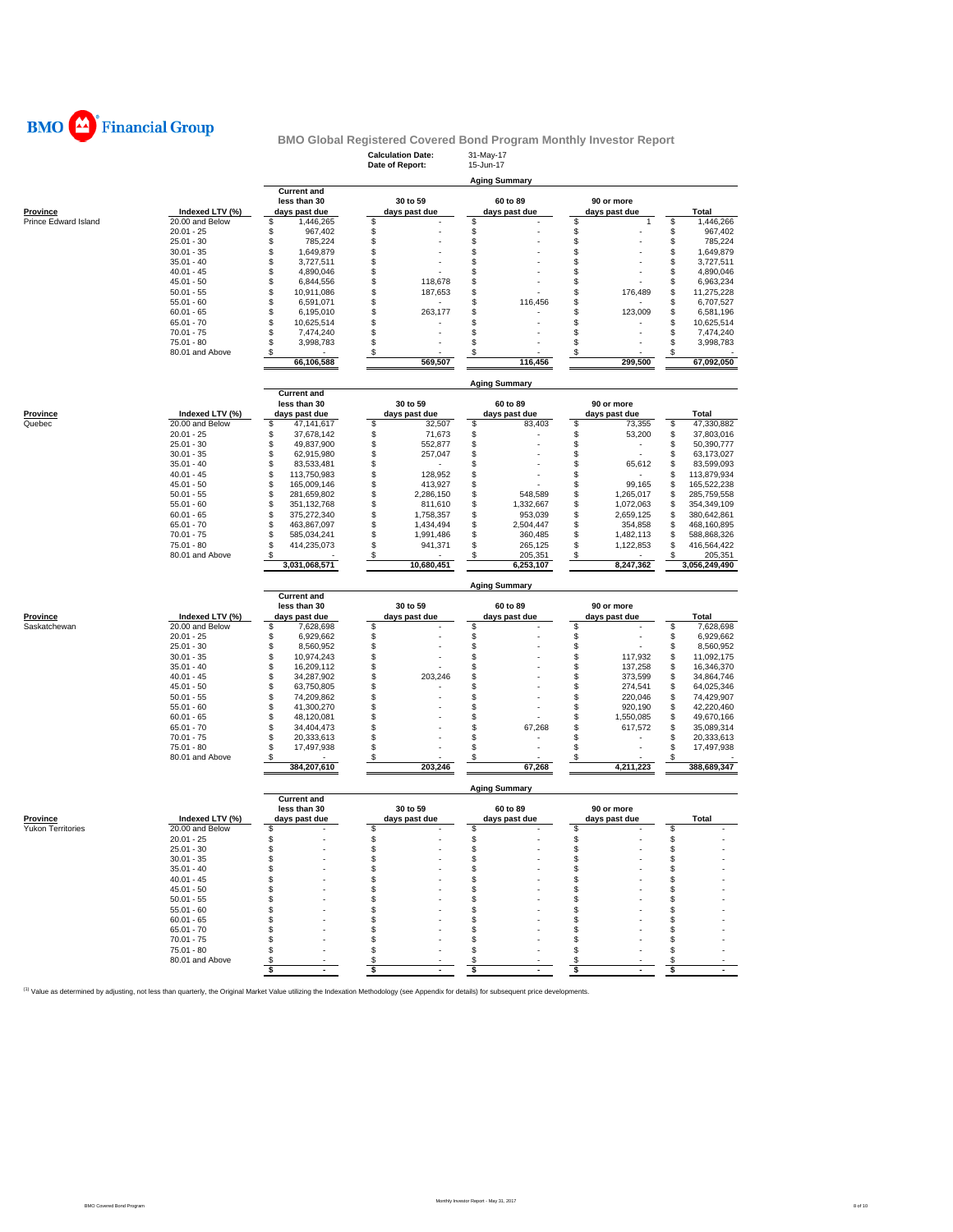

|                          |                              |                                        | <b>Calculation Date:</b>           | 31-May-17                        |                                  |                                        |
|--------------------------|------------------------------|----------------------------------------|------------------------------------|----------------------------------|----------------------------------|----------------------------------------|
|                          |                              |                                        | Date of Report:                    | 15-Jun-17                        |                                  |                                        |
|                          |                              | <b>Current and</b>                     |                                    | <b>Aging Summary</b>             |                                  |                                        |
|                          |                              | less than 30                           | 30 to 59                           | 60 to 89                         | 90 or more                       |                                        |
| Province                 | Indexed LTV (%)              | days past due                          | days past due                      | days past due                    | days past due                    | Total                                  |
| Prince Edward Island     | 20.00 and Below              | \$<br>1,446,265                        | \$                                 | \$                               | \$<br>$\overline{1}$             | \$<br>1,446,266                        |
|                          | $20.01 - 25$<br>$25.01 - 30$ | \$<br>967,402<br>\$<br>785,224         | \$<br>\$                           | \$<br>\$                         | \$<br>\$                         | \$<br>967,402<br>\$<br>785,224         |
|                          | $30.01 - 35$                 | \$<br>1,649,879                        | \$                                 | \$                               | \$                               | \$<br>1,649,879                        |
|                          | $35.01 - 40$                 | \$<br>3,727,511                        | \$                                 | \$                               | \$                               | \$<br>3,727,511                        |
|                          | $40.01 - 45$                 | \$<br>4,890,046                        | \$                                 | \$                               | \$                               | \$<br>4,890,046                        |
|                          | $45.01 - 50$                 | \$<br>6,844,556                        | \$<br>118,678                      | \$                               | \$                               | \$<br>6,963,234                        |
|                          | $50.01 - 55$                 | \$<br>10,911,086                       | \$<br>187,653                      | \$                               | \$<br>176,489                    | \$<br>11,275,228                       |
|                          | $55.01 - 60$<br>$60.01 - 65$ | \$<br>6,591,071<br>\$                  | \$<br>\$<br>263,177                | \$<br>116,456<br>\$              | \$<br>\$<br>123.009              | \$<br>6,707,527<br>\$                  |
|                          | $65.01 - 70$                 | 6,195,010<br>\$<br>10,625,514          | \$                                 | \$                               | \$                               | 6,581,196<br>\$<br>10,625,514          |
|                          | $70.01 - 75$                 | \$<br>7,474,240                        | \$                                 | \$                               | \$                               | \$<br>7,474,240                        |
|                          | $75.01 - 80$                 | \$<br>3,998,783                        | \$                                 | \$                               | \$                               | \$<br>3.998.783                        |
|                          | 80.01 and Above              | \$                                     | \$                                 | \$                               | \$                               | \$                                     |
|                          |                              | 66,106,588                             | 569,507                            | 116,456                          | 299,500                          | 67,092,050                             |
|                          |                              |                                        |                                    |                                  |                                  |                                        |
|                          |                              | <b>Current and</b>                     |                                    | <b>Aging Summary</b>             |                                  |                                        |
|                          |                              | less than 30                           | 30 to 59                           | 60 to 89                         | 90 or more                       |                                        |
| Province                 | Indexed LTV (%)              | days past due                          | days past due                      | days past due                    | days past due                    | Total                                  |
| Quebec                   | 20.00 and Below              | \$<br>47,141,617                       | \$<br>32,507                       | \$<br>83,403                     | \$<br>73,355                     | \$<br>47,330,882                       |
|                          | $20.01 - 25$                 | \$<br>37,678,142                       | \$<br>71,673                       | \$                               | \$<br>53,200                     | \$<br>37,803,016                       |
|                          | $25.01 - 30$                 | \$<br>49,837,900                       | \$<br>552,877                      | \$                               | \$<br>$\overline{\phantom{a}}$   | \$<br>50,390,777                       |
|                          | $30.01 - 35$<br>$35.01 - 40$ | \$<br>62,915,980<br>\$<br>83,533,481   | \$<br>257,047<br>\$                | \$<br>\$                         | \$<br>\$<br>65,612               | \$<br>63,173,027<br>\$<br>83,599,093   |
|                          | $40.01 - 45$                 | \$<br>113,750,983                      | \$<br>128,952                      | \$                               | \$                               | \$<br>113,879,934                      |
|                          | $45.01 - 50$                 | \$<br>165,009,146                      | \$<br>413,927                      | \$                               | \$<br>99,165                     | \$<br>165,522,238                      |
|                          | $50.01 - 55$                 | \$<br>281,659,802                      | \$<br>2,286,150                    | \$<br>548,589                    | \$<br>1,265,017                  | \$<br>285,759,558                      |
|                          | $55.01 - 60$                 | \$<br>351,132,768                      | \$<br>811,610                      | \$<br>1,332,667                  | \$<br>1,072,063                  | \$<br>354,349,109                      |
|                          | $60.01 - 65$                 | \$<br>375,272,340                      | \$<br>1,758,357                    | \$<br>953,039                    | \$<br>2,659,125                  | \$<br>380,642,861                      |
|                          | $65.01 - 70$<br>$70.01 - 75$ | \$<br>463,867,097<br>\$<br>585,034,241 | \$<br>1,434,494<br>\$<br>1,991,486 | \$<br>2,504,447<br>\$<br>360,485 | \$<br>354,858<br>\$<br>1,482,113 | \$<br>468,160,895<br>\$<br>588,868,326 |
|                          | 75.01 - 80                   | \$<br>414,235,073                      | \$<br>941,371                      | \$<br>265,125                    | \$<br>1,122,853                  | \$<br>416,564,422                      |
|                          | 80.01 and Above              | \$                                     | \$                                 | \$<br>205,351                    | \$                               | \$<br>205,351                          |
|                          |                              | 3,031,068,571                          | 10,680,451                         | 6,253,107                        | 8,247,362                        | 3,056,249,490                          |
|                          |                              |                                        |                                    |                                  |                                  |                                        |
|                          |                              | <b>Current and</b>                     |                                    | <b>Aging Summary</b>             |                                  |                                        |
|                          |                              | less than 30                           | 30 to 59                           | 60 to 89                         | 90 or more                       |                                        |
| Province                 | Indexed LTV (%)              | days past due                          | days past due                      | days past due                    | days past due                    | Total                                  |
| Saskatchewan             | 20.00 and Below              | \$<br>7,628,698                        | \$                                 | \$                               | \$                               | \$<br>7,628,698                        |
|                          | $20.01 - 25$                 | \$<br>6,929,662                        | \$                                 | \$                               | \$                               | \$<br>6,929,662                        |
|                          | $25.01 - 30$<br>$30.01 - 35$ | \$<br>8,560,952<br>\$<br>10,974,243    | \$<br>\$                           | \$<br>\$                         | \$<br>\$<br>117,932              | \$<br>8,560,952<br>\$<br>11,092,175    |
|                          | $35.01 - 40$                 | \$<br>16,209,112                       |                                    |                                  |                                  |                                        |
|                          |                              |                                        |                                    |                                  |                                  |                                        |
|                          | $40.01 - 45$                 | \$<br>34,287,902                       | \$<br>\$<br>203,246                | \$<br>\$                         | \$<br>137,258<br>\$<br>373,599   | \$<br>16,346,370<br>\$<br>34,864,746   |
|                          | $45.01 - 50$                 | \$<br>63,750,805                       | \$                                 | \$                               | \$<br>274,541                    | \$<br>64,025,346                       |
|                          | $50.01 - 55$                 | \$<br>74,209,862                       | \$                                 | \$                               | \$<br>220,046                    | \$<br>74,429,907                       |
|                          | $55.01 - 60$                 | \$<br>41,300,270                       | \$                                 | \$                               | \$<br>920,190                    | \$<br>42,220,460                       |
|                          | $60.01 - 65$                 | \$<br>48,120,081                       | \$                                 | \$                               | \$<br>1,550,085                  | \$<br>49,670,166                       |
|                          | $65.01 - 70$<br>$70.01 - 75$ | \$<br>34,404,473<br>\$                 | \$<br>\$                           | \$<br>67,268<br>\$               | \$<br>617,572<br>\$              | \$<br>35,089,314                       |
|                          | 75.01 - 80                   | 20,333,613<br>\$<br>17,497,938         | \$                                 | \$                               | \$                               | \$<br>20,333,613<br>\$<br>17,497,938   |
|                          | 80.01 and Above              | \$                                     | \$                                 | \$                               | \$                               | \$                                     |
|                          |                              | 384,207,610                            | 203,246                            | 67,268                           | 4,211,223                        | 388,689,347                            |
|                          |                              |                                        |                                    |                                  |                                  |                                        |
|                          |                              | <b>Current and</b>                     |                                    | <b>Aging Summary</b>             |                                  |                                        |
|                          |                              | less than 30                           | 30 to 59                           | 60 to 89                         | 90 or more                       |                                        |
| <b>Province</b>          | Indexed LTV (%)              | days past due                          | days past due                      | days past due                    | days past due                    | Total                                  |
| <b>Yukon Territories</b> | 20.00 and Below              | \$                                     | \$                                 | \$                               | \$                               | \$                                     |
|                          | $20.01 - 25$                 | \$                                     | \$                                 | \$                               | \$                               | \$                                     |
|                          | $25.01 - 30$                 |                                        | S                                  | \$                               |                                  | S                                      |
|                          | $30.01 - 35$<br>$35.01 - 40$ | S<br>\$                                | \$<br>\$                           | \$<br>\$                         | \$<br>\$                         | \$<br>\$                               |
|                          | $40.01 - 45$                 | \$                                     | \$                                 | \$                               | \$                               | \$                                     |
|                          | $45.01 - 50$                 | \$                                     | \$                                 | \$                               | \$                               | \$                                     |
|                          | $50.01 - 55$                 | \$                                     | \$                                 | \$                               | \$                               | \$                                     |
|                          | $55.01 - 60$                 | \$                                     | \$                                 | \$                               | \$                               | \$                                     |
|                          | $60.01 - 65$                 | S                                      | \$                                 | \$                               | \$                               | \$                                     |
|                          | $65.01 - 70$                 | S                                      | S                                  | \$                               | S                                | \$                                     |
|                          | $70.01 - 75$<br>$75.01 - 80$ | S                                      | \$<br>\$                           | \$<br>\$                         | \$<br>\$                         | \$<br>\$                               |
|                          | 80.01 and Above              |                                        | \$                                 | \$                               | \$                               | \$                                     |
|                          |                              | \$<br>$\blacksquare$                   | \$                                 | \$                               | \$                               | \$                                     |

<sup>(1)</sup> Value as determined by adjusting, not less than quarterly, the Original Market Value utilizing the Indexation Methodology (see Appendix for details) for subsequent price developments.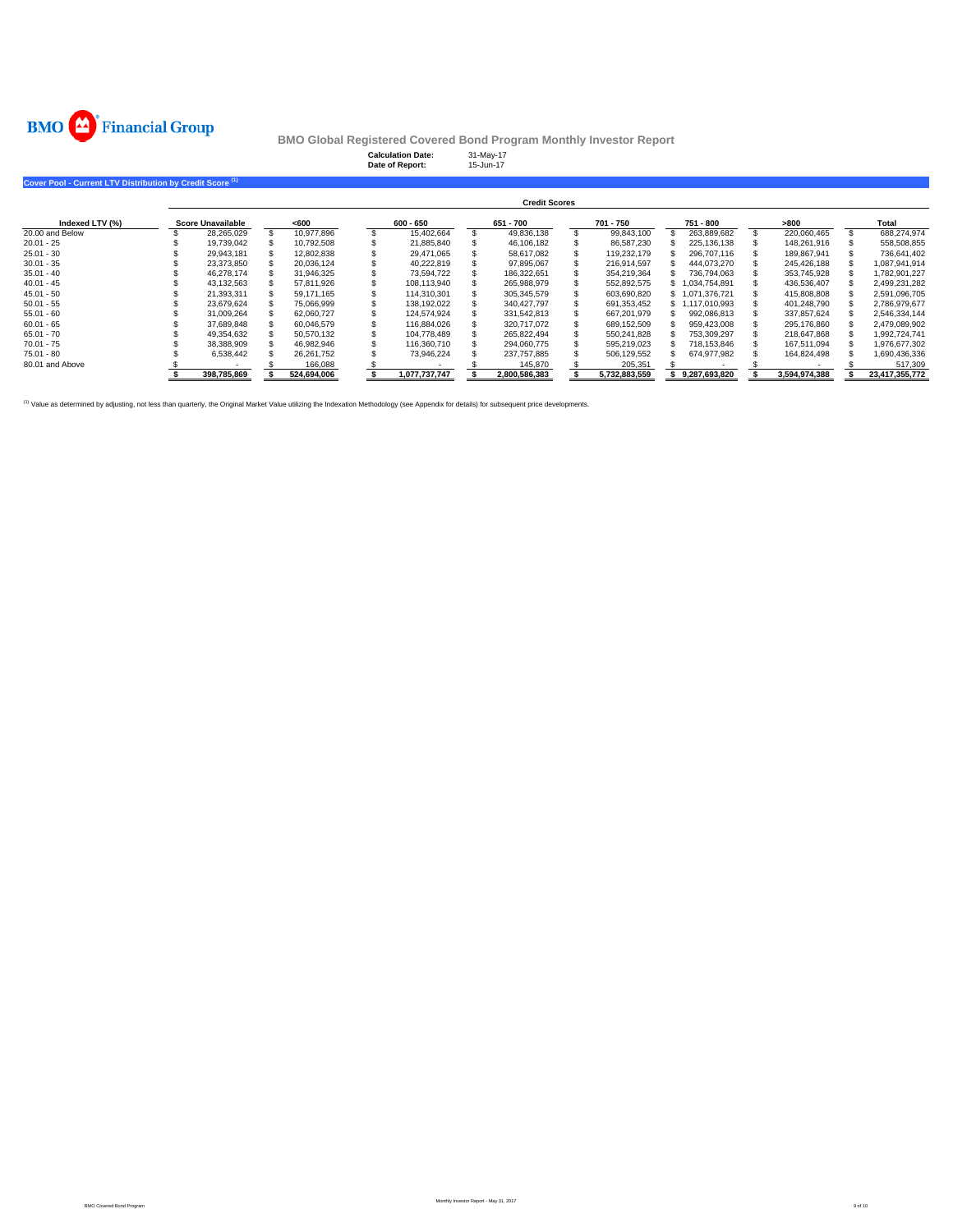

|                                                                      |                          |             | <b>Calculation Date:</b><br>Date of Report: | 31-May-17<br>15-Jun-17 |               |                 |               |                |
|----------------------------------------------------------------------|--------------------------|-------------|---------------------------------------------|------------------------|---------------|-----------------|---------------|----------------|
| Cover Pool - Current LTV Distribution by Credit Score <sup>(1)</sup> |                          |             |                                             |                        |               |                 |               |                |
|                                                                      |                          |             |                                             | <b>Credit Scores</b>   |               |                 |               |                |
| Indexed LTV (%)                                                      | <b>Score Unavailable</b> | <600        | $600 - 650$                                 | 651 - 700              | 701 - 750     | 751 - 800       | >800          | Total          |
| 20,00 and Below                                                      | 28,265,029               | 10,977,896  | 15,402,664                                  | 49.836.138             | 99,843,100    | 263,889,682     | 220,060,465   | 688,274,974    |
| $20.01 - 25$                                                         | 19,739,042               | 10,792,508  | 21.885.840                                  | 46,106,182             | 86,587,230    | 225,136,138     | 148,261,916   | 558,508,855    |
| $25.01 - 30$                                                         | 29,943,181               | 12,802,838  | 29,471,065                                  | 58,617,082             | 119,232,179   | 296,707,116     | 189,867,941   | 736,641,402    |
| $30.01 - 35$                                                         | 23,373,850               | 20,036,124  | 40,222,819                                  | 97,895,067             | 216,914,597   | 444,073,270     | 245,426,188   | 1,087,941,914  |
| $35.01 - 40$                                                         | 46.278.174               | 31,946,325  | 73.594.722                                  | 186,322,651            | 354,219,364   | 736,794,063     | 353.745.928   | 1,782,901,227  |
| $40.01 - 45$                                                         | 43,132,563               | 57,811,926  | 108,113,940                                 | 265,988,979            | 552,892,575   | 1,034,754,891   | 436,536,407   | 2,499,231,282  |
| $45.01 - 50$                                                         | 21,393,311               | 59.171.165  | 114.310.301                                 | 305,345,579            | 603,690,820   | \$1,071,376,721 | 415,808,808   | 2,591,096,705  |
| $50.01 - 55$                                                         | 23.679.624               | 75.066.999  | 138.192.022                                 | 340.427.797            | 691.353.452   | \$1.117.010.993 | 401.248.790   | 2,786,979,677  |
| $55.01 - 60$                                                         | 31,009,264               | 62,060,727  | 124,574,924                                 | 331,542,813            | 667,201,979   | 992,086,813     | 337,857,624   | 2,546,334,144  |
| $60.01 - 65$                                                         | 37,689,848               | 60,046,579  | 116.884.026                                 | 320.717.072            | 689,152,509   | 959,423,008     | 295,176,860   | 2,479,089,902  |
| $65.01 - 70$                                                         | 49,354,632               | 50.570.132  | 104.778.489                                 | 265.822.494            | 550.241.828   | 753.309.297     | 218,647,868   | 1.992.724.741  |
| $70.01 - 75$                                                         | 38,388,909               | 46,982,946  | 116,360,710                                 | 294,060,775            | 595,219,023   | 718,153,846     | 167,511,094   | 1,976,677,302  |
| 75.01 - 80                                                           | 6,538,442                | 26,261,752  | 73,946,224                                  | 237,757,885            | 506,129,552   | 674,977,982     | 164,824,498   | 1,690,436,336  |
| 80.01 and Above                                                      |                          | 166,088     |                                             | 145,870                | 205,351       |                 |               | 517,309        |
|                                                                      | 398,785,869              | 524,694,006 | 1.077.737.747                               | 2,800,586,383          | 5.732.883.559 | \$9.287.693.820 | 3,594,974,388 | 23,417,355,772 |

(1) Value as determined by adjusting, not less than quarterly, the Original Market Value utilizing the Indexation Methodology (see Appendix for details) for subsequent price developments.